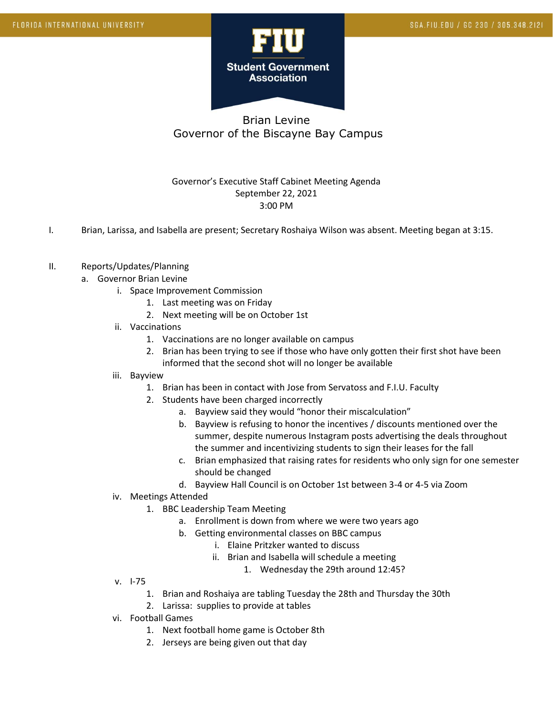

# Brian Levine Governor of the Biscayne Bay Campus

### Governor's Executive Staff Cabinet Meeting Agenda September 22, 2021 3:00 PM

I. Brian, Larissa, and Isabella are present; Secretary Roshaiya Wilson was absent. Meeting began at 3:15.

#### II. Reports/Updates/Planning

- a. Governor Brian Levine
	- i. Space Improvement Commission
		- 1. Last meeting was on Friday
		- 2. Next meeting will be on October 1st
	- ii. Vaccinations
		- 1. Vaccinations are no longer available on campus
		- 2. Brian has been trying to see if those who have only gotten their first shot have been informed that the second shot will no longer be available
	- iii. Bayview
		- 1. Brian has been in contact with Jose from Servatoss and F.I.U. Faculty
		- 2. Students have been charged incorrectly
			- a. Bayview said they would "honor their miscalculation"
			- b. Bayview is refusing to honor the incentives / discounts mentioned over the summer, despite numerous Instagram posts advertising the deals throughout the summer and incentivizing students to sign their leases for the fall
			- c. Brian emphasized that raising rates for residents who only sign for one semester should be changed
			- d. Bayview Hall Council is on October 1st between 3-4 or 4-5 via Zoom
	- iv. Meetings Attended
		- 1. BBC Leadership Team Meeting
			- a. Enrollment is down from where we were two years ago
			- b. Getting environmental classes on BBC campus
				- i. Elaine Pritzker wanted to discuss
				- ii. Brian and Isabella will schedule a meeting
					- 1. Wednesday the 29th around 12:45?

- v. I-75
	- 1. Brian and Roshaiya are tabling Tuesday the 28th and Thursday the 30th
	- 2. Larissa: supplies to provide at tables
- vi. Football Games
	- 1. Next football home game is October 8th
	- 2. Jerseys are being given out that day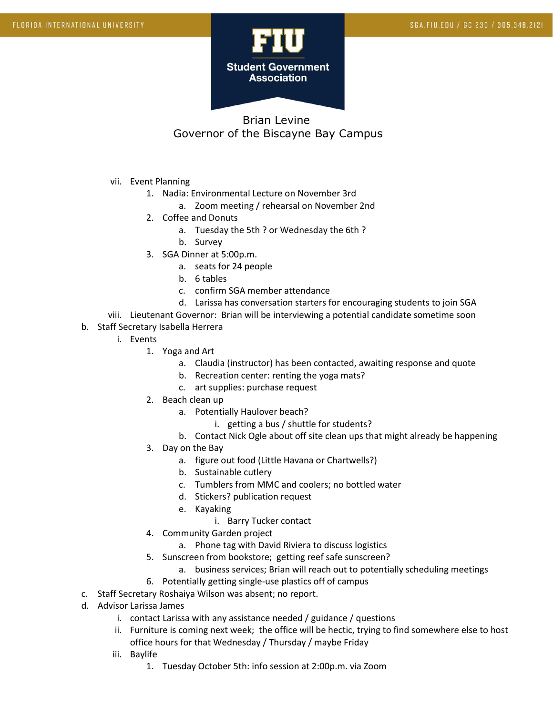

# Brian Levine Governor of the Biscayne Bay Campus

- vii. Event Planning
	- 1. Nadia: Environmental Lecture on November 3rd
		- a. Zoom meeting / rehearsal on November 2nd
	- 2. Coffee and Donuts
		- a. Tuesday the 5th ? or Wednesday the 6th ?
		- b. Survey
	- 3. SGA Dinner at 5:00p.m.
		- a. seats for 24 people
		- b. 6 tables
		- c. confirm SGA member attendance
		- d. Larissa has conversation starters for encouraging students to join SGA
- viii. Lieutenant Governor: Brian will be interviewing a potential candidate sometime soon
- b. Staff Secretary Isabella Herrera
	- i. Events
		- 1. Yoga and Art
			- a. Claudia (instructor) has been contacted, awaiting response and quote
			- b. Recreation center: renting the yoga mats?
			- c. art supplies: purchase request
		- 2. Beach clean up
			- a. Potentially Haulover beach?
				- i. getting a bus / shuttle for students?
			- b. Contact Nick Ogle about off site clean ups that might already be happening
		- 3. Day on the Bay
			- a. figure out food (Little Havana or Chartwells?)
			- b. Sustainable cutlery
			- c. Tumblers from MMC and coolers; no bottled water
			- d. Stickers? publication request
			- e. Kayaking
				- i. Barry Tucker contact
		- 4. Community Garden project
			- a. Phone tag with David Riviera to discuss logistics
		- 5. Sunscreen from bookstore; getting reef safe sunscreen?
			- a. business services; Brian will reach out to potentially scheduling meetings
		- 6. Potentially getting single-use plastics off of campus
- c. Staff Secretary Roshaiya Wilson was absent; no report.
- d. Advisor Larissa James
	- i. contact Larissa with any assistance needed / guidance / questions
	- ii. Furniture is coming next week; the office will be hectic, trying to find somewhere else to host office hours for that Wednesday / Thursday / maybe Friday
	- iii. Baylife
		- 1. Tuesday October 5th: info session at 2:00p.m. via Zoom